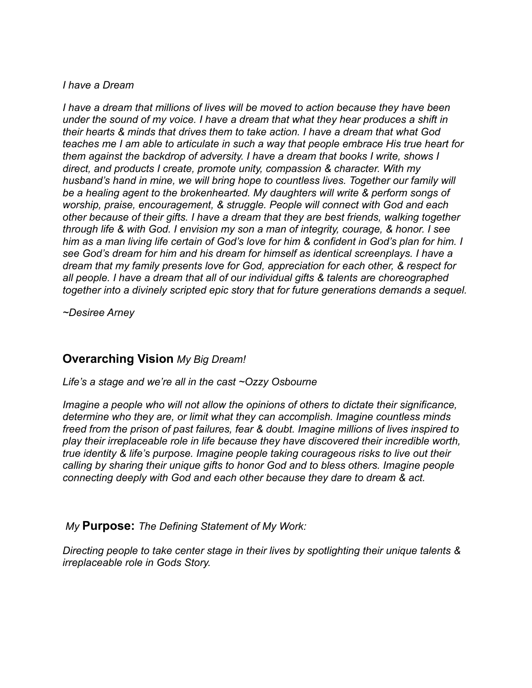#### *I have a Dream*

*I have a dream that millions of lives will be moved to action because they have been under the sound of my voice. I have a dream that what they hear produces a shift in their hearts & minds that drives them to take action. I have a dream that what God teaches me I am able to articulate in such a way that people embrace His true heart for them against the backdrop of adversity. I have a dream that books I write, shows I direct, and products I create, promote unity, compassion & character. With my husband's hand in mine, we will bring hope to countless lives. Together our family will be a healing agent to the brokenhearted. My daughters will write & perform songs of worship, praise, encouragement, & struggle. People will connect with God and each other because of their gifts. I have a dream that they are best friends, walking together through life & with God. I envision my son a man of integrity, courage, & honor. I see him as a man living life certain of God's love for him & confident in God's plan for him. I see God's dream for him and his dream for himself as identical screenplays. I have a dream that my family presents love for God, appreciation for each other, & respect for all people. I have a dream that all of our individual gifts & talents are choreographed together into a divinely scripted epic story that for future generations demands a sequel.*

*~Desiree Arney* 

## **Overarching Vision** *My Big Dream!*

*Life's a stage and we're all in the cast ~Ozzy Osbourne*

*Imagine a people who will not allow the opinions of others to dictate their significance, determine who they are, or limit what they can accomplish. Imagine countless minds freed from the prison of past failures, fear & doubt. Imagine millions of lives inspired to play their irreplaceable role in life because they have discovered their incredible worth, true identity & life's purpose. Imagine people taking courageous risks to live out their calling by sharing their unique gifts to honor God and to bless others. Imagine people connecting deeply with God and each other because they dare to dream & act.*

 *My* **Purpose:** *The Defining Statement of My Work:*

*Directing people to take center stage in their lives by spotlighting their unique talents & irreplaceable role in Gods Story.*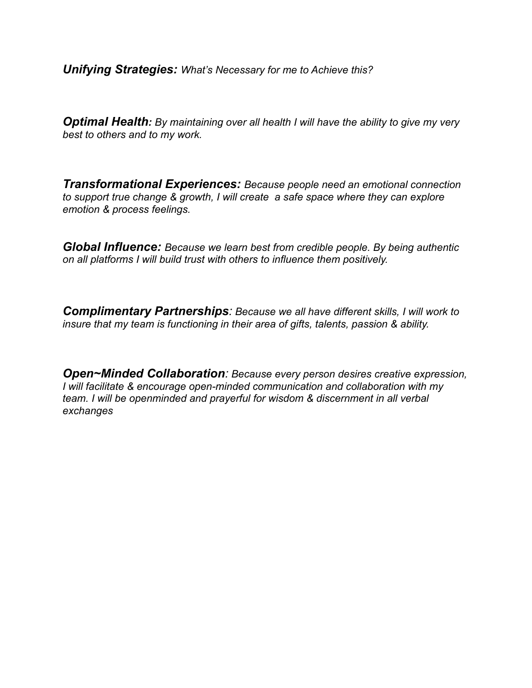*Unifying Strategies: What's Necessary for me to Achieve this?*

*Optimal Health: By maintaining over all health I will have the ability to give my very best to others and to my work.* 

*Transformational Experiences: Because people need an emotional connection to support true change & growth, I will create a safe space where they can explore emotion & process feelings.*

*Global Influence: Because we learn best from credible people. By being authentic on all platforms I will build trust with others to influence them positively.* 

*Complimentary Partnerships: Because we all have different skills, I will work to insure that my team is functioning in their area of gifts, talents, passion & ability.*

*Open~Minded Collaboration: Because every person desires creative expression, I will facilitate & encourage open-minded communication and collaboration with my team. I will be openminded and prayerful for wisdom & discernment in all verbal exchanges*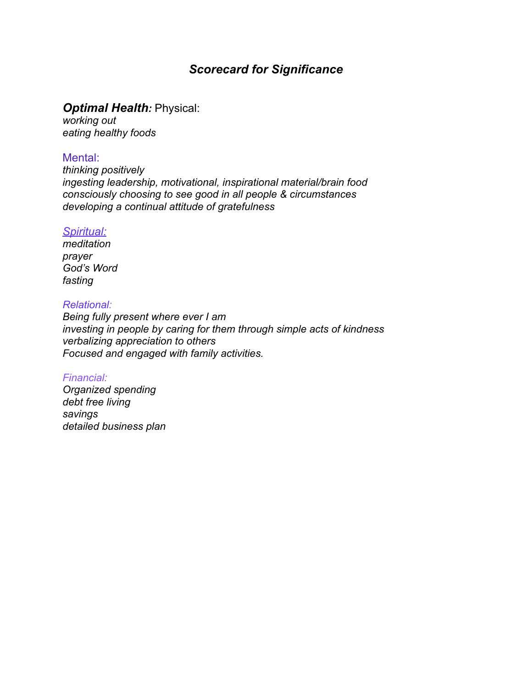# *Scorecard for Significance*

### *Optimal Health:* Physical:

*working out eating healthy foods*

### Mental:

*thinking positively ingesting leadership, motivational, inspirational material/brain food consciously choosing to see good in all people & circumstances developing a continual attitude of gratefulness*

### *Spiritual:*

*meditation prayer God's Word fasting*

### *Relational:*

*Being fully present where ever I am investing in people by caring for them through simple acts of kindness verbalizing appreciation to others Focused and engaged with family activities.*

### *Financial:*

*Organized spending debt free living savings detailed business plan*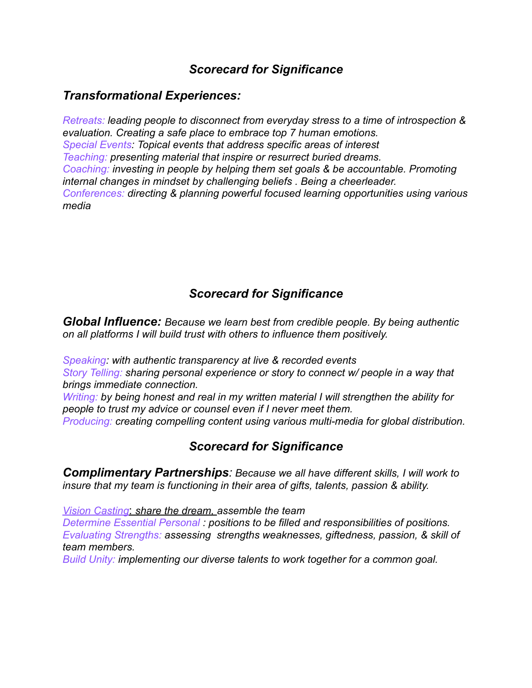# *Scorecard for Significance*

## *Transformational Experiences:*

*Retreats: leading people to disconnect from everyday stress to a time of introspection & evaluation. Creating a safe place to embrace top 7 human emotions. Special Events: Topical events that address specific areas of interest Teaching: presenting material that inspire or resurrect buried dreams. Coaching: investing in people by helping them set goals & be accountable. Promoting internal changes in mindset by challenging beliefs . Being a cheerleader. Conferences: directing & planning powerful focused learning opportunities using various media*

# *Scorecard for Significance*

*Global Influence: Because we learn best from credible people. By being authentic on all platforms I will build trust with others to influence them positively.* 

*Speaking: with authentic transparency at live & recorded events Story Telling: sharing personal experience or story to connect w/ people in a way that brings immediate connection.*

*Writing: by being honest and real in my written material I will strengthen the ability for people to trust my advice or counsel even if I never meet them.* 

*Producing: creating compelling content using various multi-media for global distribution.*

## *Scorecard for Significance*

*Complimentary Partnerships: Because we all have different skills, I will work to insure that my team is functioning in their area of gifts, talents, passion & ability.*

*Vision Casting*: *share the dream, assemble the team*

*Determine Essential Personal : positions to be filled and responsibilities of positions. Evaluating Strengths: assessing strengths weaknesses, giftedness, passion, & skill of team members.*

*Build Unity: implementing our diverse talents to work together for a common goal.*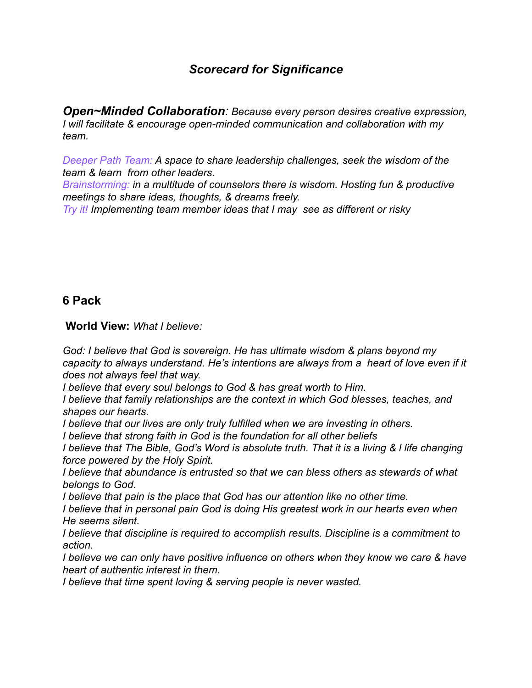# *Scorecard for Significance*

*Open~Minded Collaboration: Because every person desires creative expression, I will facilitate & encourage open-minded communication and collaboration with my team.*

*Deeper Path Team: A space to share leadership challenges, seek the wisdom of the team & learn from other leaders.*

*Brainstorming: in a multitude of counselors there is wisdom. Hosting fun & productive meetings to share ideas, thoughts, & dreams freely.*

*Try it! Implementing team member ideas that I may see as different or risky* 

## **6 Pack**

 **World View:** *What I believe:*

*God: I believe that God is sovereign. He has ultimate wisdom & plans beyond my capacity to always understand. He's intentions are always from a heart of love even if it does not always feel that way.* 

*I believe that every soul belongs to God & has great worth to Him.* 

*I believe that family relationships are the context in which God blesses, teaches, and shapes our hearts.*

*I believe that our lives are only truly fulfilled when we are investing in others.*

*I believe that strong faith in God is the foundation for all other beliefs*

*I believe that The Bible, God's Word is absolute truth. That it is a living & l life changing force powered by the Holy Spirit.*

*I believe that abundance is entrusted so that we can bless others as stewards of what belongs to God.*

*I believe that pain is the place that God has our attention like no other time.*

*I believe that in personal pain God is doing His greatest work in our hearts even when He seems silent.*

*I believe that discipline is required to accomplish results. Discipline is a commitment to action.*

*I believe we can only have positive influence on others when they know we care & have heart of authentic interest in them.*

*I believe that time spent loving & serving people is never wasted.*